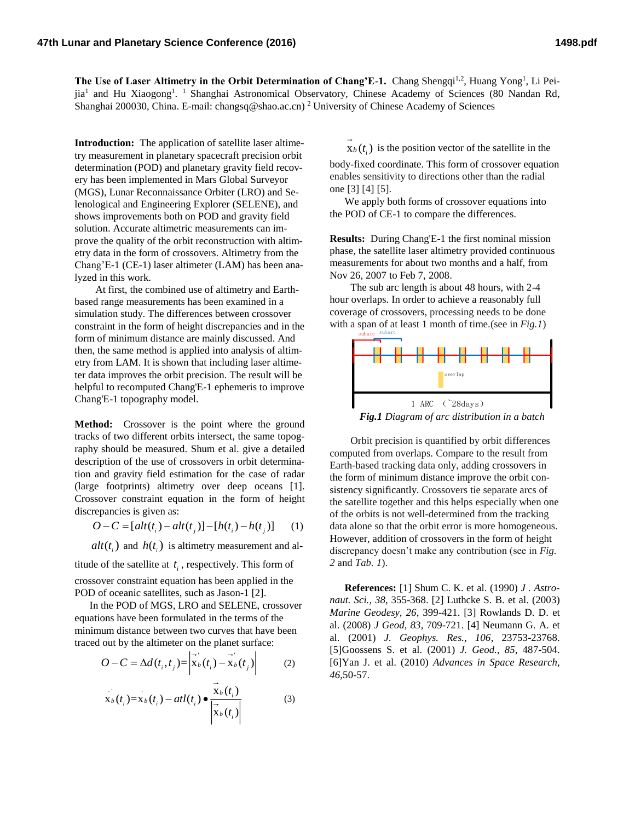The Use of Laser Altimetry in the Orbit Determination of Chang'E-1. Chang Shengqi<sup>1,2</sup>, Huang Yong<sup>1</sup>, Li Peijia<sup>1</sup> and Hu Xiaogong<sup>1</sup>. <sup>1</sup> Shanghai Astronomical Observatory, Chinese Academy of Sciences (80 Nandan Rd, Shanghai 200030, China. E-mail: changsq@shao.ac.cn) <sup>2</sup> University of Chinese Academy of Sciences

**Introduction:** The application of satellite laser altimetry measurement in planetary spacecraft precision orbit determination (POD) and planetary gravity field recovery has been implemented in Mars Global Surveyor (MGS), Lunar Reconnaissance Orbiter (LRO) and Selenological and Engineering Explorer (SELENE), and shows improvements both on POD and gravity field solution. Accurate altimetric measurements can improve the quality of the orbit reconstruction with altimetry data in the form of crossovers. Altimetry from the Chang'E-1 (CE-1) laser altimeter (LAM) has been analyzed in this work.

At first, the combined use of altimetry and Earthbased range measurements has been examined in a simulation study. The differences between crossover constraint in the form of height discrepancies and in the form of minimum distance are mainly discussed. And then, the same method is applied into analysis of altimetry from LAM. It is shown that including laser altimeter data improves the orbit precision. The result will be helpful to recomputed Chang'E-1 ephemeris to improve Chang'E-1 topography model.

**Method:** Crossover is the point where the ground tracks of two different orbits intersect, the same topography should be measured. Shum et al. give a detailed description of the use of crossovers in orbit determination and gravity field estimation for the case of radar (large footprints) altimetry over deep oceans [1]. Crossover constraint equation in the form of height discrepancies is given as:

$$
O - C = [alt(t_i) - alt(t_j)] - [h(t_i) - h(t_j)] \tag{1}
$$

 $alt(t_i)$  and  $h(t_i)$  is altimetry measurement and al-

titude of the satellite at  $t_i$ , respectively. This form of crossover constraint equation has been applied in the POD of oceanic satellites, such as Jason-1 [2].

In the POD of MGS, LRO and SELENE, crossover equations have been formulated in the terms of the minimum distance between two curves that have been traced out by the altimeter on the planet surface:

$$
O - C = \Delta d(t_i, t_j) = \begin{vmatrix} \vec{r} & \vec{r} \\ \vec{x}_b(t_i) - \vec{x}_b(t_j) \end{vmatrix}
$$
 (2)

$$
\overrightarrow{\mathbf{x}}_b(t_i) = \overrightarrow{\mathbf{x}}_b(t_i) - atl(t_i) \bullet \frac{\mathbf{x}_b(t_i)}{\left|\overrightarrow{\mathbf{x}}_b(t_i)\right|}
$$
(3)

 $x_b(t_i)$  is the position vector of the satellite in the

body-fixed coordinate. This form of crossover equation enables sensitivity to directions other than the radial one [3] [4] [5].

We apply both forms of crossover equations into the POD of CE-1 to compare the differences.

**Results:** During Chang'E-1 the first nominal mission phase, the satellite laser altimetry provided continuous measurements for about two months and a half, from Nov 26, 2007 to Feb 7, 2008.

The sub arc length is about 48 hours, with 2-4 hour overlaps. In order to achieve a reasonably full coverage of crossovers, processing needs to be done with a span of at least 1 month of time.(see in *Fig.1*)



*Fig.1 Diagram of arc distribution in a batch*

Orbit precision is quantified by orbit differences computed from overlaps. Compare to the result from Earth-based tracking data only, adding crossovers in the form of minimum distance improve the orbit consistency significantly. Crossovers tie separate arcs of the satellite together and this helps especially when one of the orbits is not well-determined from the tracking data alone so that the orbit error is more homogeneous. However, addition of crossovers in the form of height discrepancy doesn't make any contribution (see in *Fig. 2* and *Tab. 1*).

**References:** [1] Shum C. K. et al. (1990) *J . Astronaut. Sci., 38*, 355-368. [2] Luthcke S. B. et al. (2003) *Marine Geodesy, 26*, 399-421. [3] Rowlands D. D. et al. (2008) *J Geod, 83*, 709-721. [4] Neumann G. A. et al. (2001) *J. Geophys. Res., 106*, 23753-23768. [5]Goossens S. et al. (2001) *J. Geod., 85*, 487-504. [6]Yan J. et al. (2010) *Advances in Space Research, 46*,50-57.